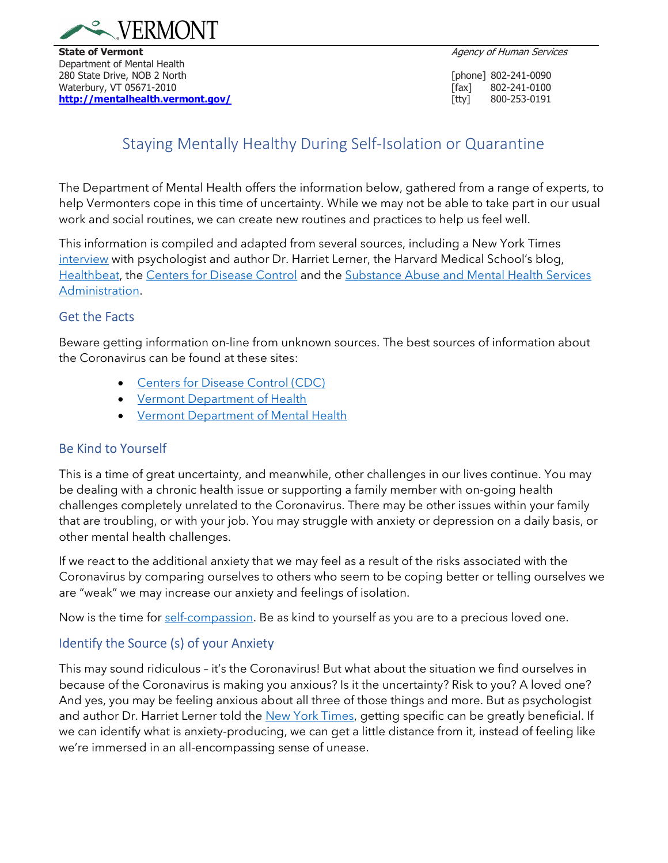

**State of Vermont** Agency of Human Services **State of Verministers** and Agency of Human Services Department of Mental Health 280 State Drive, NOB 2 North **and the state of the state of the state of the state of the state of the state of the state of the state of the state of the state of the state of the state of the state of the state of the st** Waterbury, VT 05671-2010 **and 1999** and 1999 and 1999 and 1999 and 1999 and 1999 and 1999 and 1999 and 1999 and 19 http://mentalhealth.vermont.gov/ [ttp] 800-253-0191

# Staying Mentally Healthy During Self-Isolation or Quarantine

The Department of Mental Health offers the information below, gathered from a range of experts, to help Vermonters cope in this time of uncertainty. While we may not be able to take part in our usual work and social routines, we can create new routines and practices to help us feel well.

This information is compiled and adapted from several sources, including a New York Times interview with psychologist and author Dr. Harriet Lerner, the Harvard Medical School's blog, Healthbeat, the Centers for Disease Control and the Substance Abuse and Mental Health Services Administration.

### Get the Facts

Beware getting information on-line from unknown sources. The best sources of information about the Coronavirus can be found at these sites:

- Centers for Disease Control (CDC)
- Vermont Department of Health
- Vermont Department of Mental Health

### Be Kind to Yourself

This is a time of great uncertainty, and meanwhile, other challenges in our lives continue. You may be dealing with a chronic health issue or supporting a family member with on-going health challenges completely unrelated to the Coronavirus. There may be other issues within your family that are troubling, or with your job. You may struggle with anxiety or depression on a daily basis, or other mental health challenges.

If we react to the additional anxiety that we may feel as a result of the risks associated with the Coronavirus by comparing ourselves to others who seem to be coping better or telling ourselves we are "weak" we may increase our anxiety and feelings of isolation.

Now is the time for self-compassion. Be as kind to yourself as you are to a precious loved one.

### Identify the Source (s) of your Anxiety

This may sound ridiculous – it's the Coronavirus! But what about the situation we find ourselves in because of the Coronavirus is making you anxious? Is it the uncertainty? Risk to you? A loved one? And yes, you may be feeling anxious about all three of those things and more. But as psychologist and author Dr. Harriet Lerner told the New York Times, getting specific can be greatly beneficial. If we can identify what is anxiety-producing, we can get a little distance from it, instead of feeling like we're immersed in an all-encompassing sense of unease.